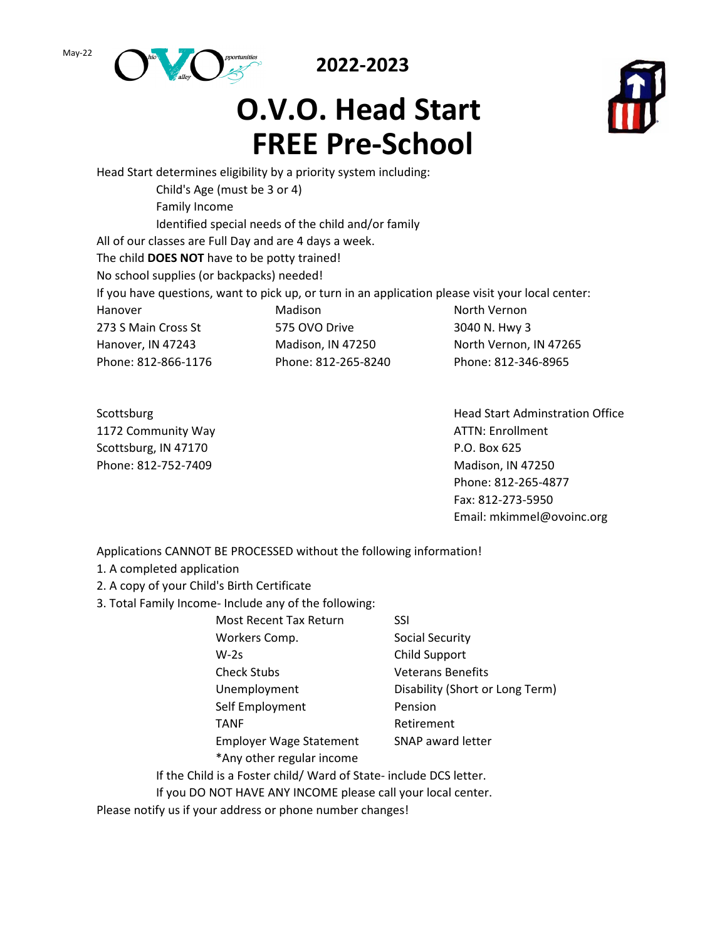May-22



**2022-2023**

## **O.V.O. Head Start FREE Pre-School**



Head Start determines eligibility by a priority system including: Child's Age (must be 3 or 4) Family Income Identified special needs of the child and/or family All of our classes are Full Day and are 4 days a week. The child **DOES NOT** have to be potty trained! No school supplies (or backpacks) needed! If you have questions, want to pick up, or turn in an application please visit your local center: Hanover Madison North Vernon 273 S Main Cross St 575 OVO Drive 3040 N. Hwy 3 Hanover, IN 47243 Madison, IN 47250 North Vernon, IN 47265 Phone: 812-866-1176 Phone: 812-265-8240 Phone: 812-346-8965

1172 Community Way **ATTN: Enrollment** Scottsburg, IN 47170 **P.O. Box 625** Phone: 812-752-7409 Madison, IN 47250

Scottsburg **Head Start Administration Office Head Start Administration Office** Phone: 812-265-4877 Fax: 812-273-5950 Email: mkimmel@ovoinc.org

Applications CANNOT BE PROCESSED without the following information!

- 1. A completed application
- 2. A copy of your Child's Birth Certificate
- 3. Total Family Income- Include any of the following:

| Most Recent Tax Return         | SSI                             |
|--------------------------------|---------------------------------|
| Workers Comp.                  | Social Security                 |
| $W-2s$                         | Child Support                   |
| <b>Check Stubs</b>             | <b>Veterans Benefits</b>        |
| Unemployment                   | Disability (Short or Long Term) |
| Self Employment                | Pension                         |
| <b>TANF</b>                    | Retirement                      |
| <b>Employer Wage Statement</b> | SNAP award letter               |
| *Any other regular income      |                                 |

If the Child is a Foster child/ Ward of State- include DCS letter. If you DO NOT HAVE ANY INCOME please call your local center.

Please notify us if your address or phone number changes!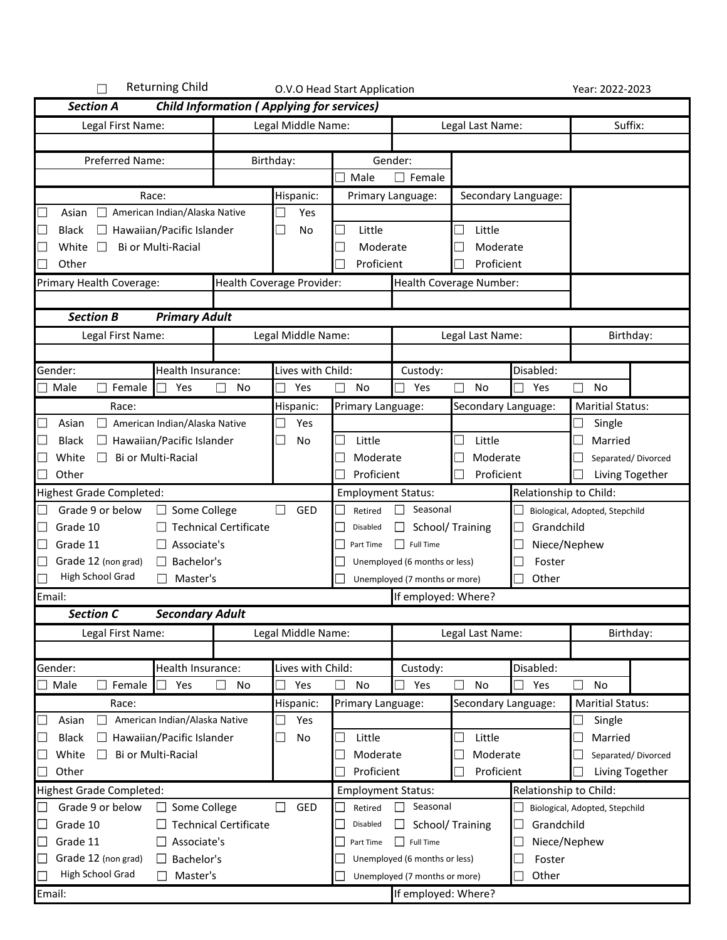| <b>Returning Child</b>                                                |                                                  |                           | O.V.O Head Start Application   |                               |                                       |                        | Year: 2022-2023                |
|-----------------------------------------------------------------------|--------------------------------------------------|---------------------------|--------------------------------|-------------------------------|---------------------------------------|------------------------|--------------------------------|
| <b>Section A</b>                                                      | <b>Child Information (Applying for services)</b> |                           |                                |                               |                                       |                        |                                |
| Legal First Name:                                                     |                                                  | Legal Middle Name:        |                                |                               | Legal Last Name:                      |                        | Suffix:                        |
|                                                                       |                                                  |                           |                                |                               |                                       |                        |                                |
| Preferred Name:                                                       |                                                  | Birthday:                 |                                | Gender:                       |                                       |                        |                                |
|                                                                       |                                                  |                           | Male                           | $\Box$ Female                 |                                       |                        |                                |
| Race:                                                                 |                                                  | Hispanic:                 |                                | Primary Language:             |                                       | Secondary Language:    |                                |
| American Indian/Alaska Native<br>$\mathcal{L}_{\mathcal{A}}$<br>Asian |                                                  | Yes                       |                                |                               |                                       |                        |                                |
| $\overline{\phantom{a}}$<br>Hawaiian/Pacific Islander<br><b>Black</b> |                                                  | $\mathcal{L}$<br>No       | Little<br>L.                   |                               | Little<br>u.                          |                        |                                |
| Bi or Multi-Racial<br>∟<br>White                                      |                                                  |                           | Moderate                       |                               | Moderate                              |                        |                                |
| $\sim$<br>Other                                                       |                                                  |                           | Proficient                     |                               | Proficient                            |                        |                                |
| Primary Health Coverage:                                              |                                                  | Health Coverage Provider: |                                |                               | Health Coverage Number:               |                        |                                |
|                                                                       |                                                  |                           |                                |                               |                                       |                        |                                |
| <b>Primary Adult</b><br><b>Section B</b>                              |                                                  |                           |                                |                               |                                       |                        |                                |
| Legal First Name:                                                     |                                                  | Legal Middle Name:        |                                |                               | Legal Last Name:                      |                        | Birthday:                      |
|                                                                       |                                                  |                           |                                |                               |                                       |                        |                                |
| Gender:<br>Health Insurance:                                          |                                                  | Lives with Child:         |                                | Custody:                      |                                       | Disabled:              |                                |
| Female<br>Yes<br>Male                                                 | No                                               | Yes                       | No<br>$\overline{\phantom{0}}$ | Yes                           | П<br>No                               | Yes                    | $\Box$<br><b>No</b>            |
| Race:                                                                 |                                                  | Hispanic:                 | Primary Language:              |                               | Secondary Language:                   |                        | <b>Maritial Status:</b>        |
| Asian<br>American Indian/Alaska Native                                |                                                  | Yes                       |                                |                               |                                       |                        | Single                         |
| Hawaiian/Pacific Islander<br><b>Black</b><br>$\Box$                   |                                                  | No                        | Little                         |                               | Little                                |                        | Married                        |
| Bi or Multi-Racial<br>White<br>└                                      |                                                  |                           | Moderate                       |                               | Moderate                              |                        | Separated/Divorced             |
| $\overline{\phantom{a}}$<br>Other                                     |                                                  |                           | Proficient                     |                               | Proficient                            |                        | Living Together                |
| <b>Highest Grade Completed:</b>                                       |                                                  |                           | <b>Employment Status:</b>      |                               |                                       | Relationship to Child: |                                |
| Grade 9 or below<br>$\mathcal{L}_{\mathcal{A}}$<br>Some College       |                                                  | GED                       | Retired                        | Seasonal                      |                                       |                        | Biological, Adopted, Stepchild |
| $\Box$<br>Grade 10                                                    | <b>Technical Certificate</b>                     |                           | Disabled                       | IJ                            | School/ Training                      | Grandchild             |                                |
| Grade 11<br>Associate's<br>$\Box$                                     |                                                  |                           | Part Time                      | <b>Full Time</b>              |                                       | Niece/Nephew           |                                |
| Grade 12 (non grad)<br>Bachelor's                                     |                                                  |                           |                                | Unemployed (6 months or less) |                                       | Foster                 |                                |
| <b>High School Grad</b><br>Master's                                   |                                                  |                           |                                | Unemployed (7 months or more) |                                       | Other                  |                                |
| Email:                                                                |                                                  |                           |                                | If employed: Where?           |                                       |                        |                                |
| <b>Secondary Adult</b><br>Section C                                   |                                                  |                           |                                |                               |                                       |                        |                                |
| Legal First Name:                                                     |                                                  | Legal Middle Name:        |                                |                               | Legal Last Name:                      |                        | Birthday:                      |
|                                                                       |                                                  |                           |                                |                               |                                       |                        |                                |
| Gender:<br>Health Insurance:                                          |                                                  | Lives with Child:         |                                | Custody:                      |                                       | Disabled:              |                                |
| $\Box$ Male<br>Female<br>Yes                                          | No                                               | Yes                       | No                             | Yes                           | No                                    | Yes                    | No                             |
| Race:                                                                 |                                                  | Hispanic:                 | Primary Language:              |                               | Secondary Language:                   |                        | <b>Maritial Status:</b>        |
| American Indian/Alaska Native<br>$\overline{\phantom{a}}$<br>Asian    |                                                  | Yes                       |                                |                               |                                       |                        | Single                         |
| $\Box$ Hawaiian/Pacific Islander<br>∟<br><b>Black</b>                 |                                                  | No                        | Little                         |                               | Little<br>$\mathcal{L}_{\mathcal{A}}$ |                        | Married                        |
| Bi or Multi-Racial<br>White                                           |                                                  |                           | Moderate                       |                               | Moderate                              |                        | Separated/Divorced             |
| Other<br>$\Box$                                                       |                                                  |                           | Proficient                     |                               | Proficient                            |                        | Living Together                |
| <b>Highest Grade Completed:</b>                                       |                                                  |                           | <b>Employment Status:</b>      |                               |                                       | Relationship to Child: |                                |
| Grade 9 or below<br>Some College<br>ப                                 |                                                  | GED                       | Retired                        | Seasonal                      |                                       |                        | Biological, Adopted, Stepchild |
| Grade 10<br>$\mathcal{L}_{\mathcal{A}}$                               | <b>Technical Certificate</b>                     |                           | Disabled                       |                               | School/ Training                      | Grandchild             |                                |
| Grade 11<br>Associate's<br>$\Box$                                     |                                                  |                           | Part Time                      | <b>Full Time</b>              |                                       | Niece/Nephew           |                                |
| Grade 12 (non grad)<br>$\Box$ Bachelor's<br>$\sim$                    |                                                  |                           |                                | Unemployed (6 months or less) |                                       | Foster                 |                                |
| High School Grad<br>Master's                                          |                                                  |                           |                                | Unemployed (7 months or more) |                                       | Other                  |                                |
| Email:                                                                |                                                  |                           |                                | If employed: Where?           |                                       |                        |                                |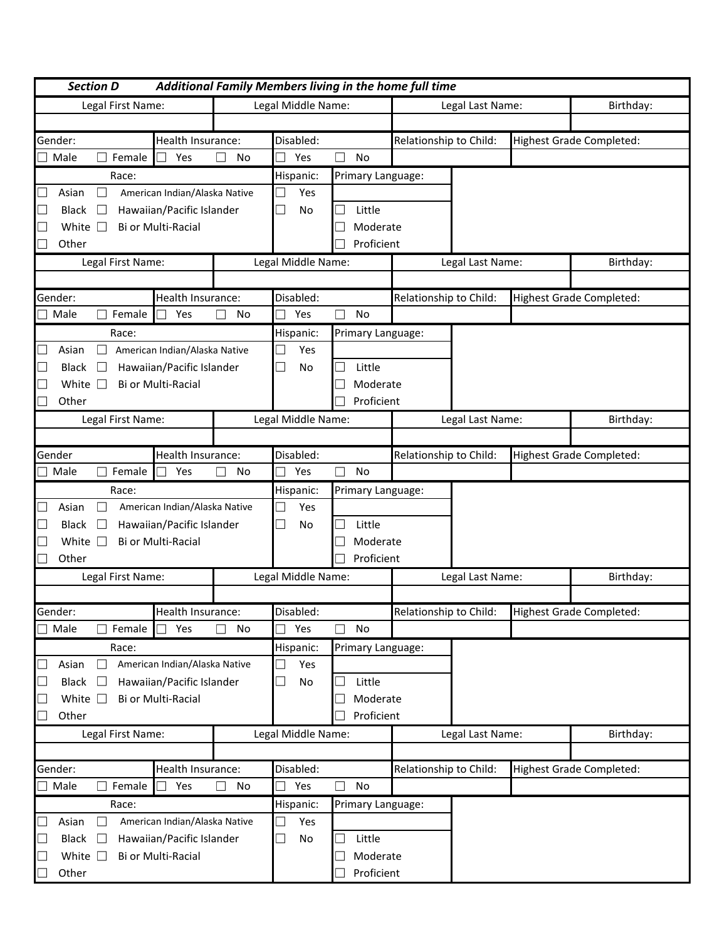| <b>Section D</b>       |                               |                    |                                 |                   | Additional Family Members living in the home full time |                  |                                 |
|------------------------|-------------------------------|--------------------|---------------------------------|-------------------|--------------------------------------------------------|------------------|---------------------------------|
| Legal First Name:      |                               |                    | Legal Middle Name:              |                   |                                                        | Legal Last Name: | Birthday:                       |
|                        |                               |                    |                                 |                   |                                                        |                  |                                 |
| Gender:                | Health Insurance:             |                    | Disabled:                       |                   | Relationship to Child:                                 |                  | <b>Highest Grade Completed:</b> |
| Male<br>Female         | Yes                           | No<br>$\mathbf{L}$ | Yes                             | No                |                                                        |                  |                                 |
| Race:                  |                               |                    | Hispanic:                       | Primary Language: |                                                        |                  |                                 |
| Asian<br>u             | American Indian/Alaska Native |                    | Yes                             |                   |                                                        |                  |                                 |
| <b>Black</b><br>$\Box$ | Hawaiian/Pacific Islander     |                    | No<br>$\Box$                    | Little            |                                                        |                  |                                 |
| White $\Box$           | Bi or Multi-Racial            |                    |                                 | Moderate          |                                                        |                  |                                 |
| Other                  |                               |                    |                                 | Proficient        |                                                        |                  |                                 |
| Legal First Name:      |                               |                    | Legal Middle Name:              |                   |                                                        | Legal Last Name: | Birthday:                       |
|                        |                               |                    |                                 |                   |                                                        |                  |                                 |
| Gender:                | Health Insurance:             |                    | Disabled:                       |                   | Relationship to Child:                                 |                  | <b>Highest Grade Completed:</b> |
| Male<br>Female         | Yes                           | $\mathbf{L}$<br>No | Yes                             | <b>No</b>         |                                                        |                  |                                 |
| Race:                  |                               |                    | Hispanic:                       | Primary Language: |                                                        |                  |                                 |
| Asian                  | American Indian/Alaska Native |                    | Yes                             |                   |                                                        |                  |                                 |
| <b>Black</b><br>$\Box$ | Hawaiian/Pacific Islander     |                    | No<br>$\overline{\phantom{a}}$  | Little<br>$\sim$  |                                                        |                  |                                 |
| White $\square$        | Bi or Multi-Racial            |                    |                                 | Moderate          |                                                        |                  |                                 |
| Other                  |                               |                    |                                 | Proficient        |                                                        |                  |                                 |
|                        |                               |                    |                                 |                   |                                                        |                  |                                 |
| Legal First Name:      |                               |                    | Legal Middle Name:              |                   |                                                        | Legal Last Name: | Birthday:                       |
| Gender                 | Health Insurance:             |                    | Disabled:                       |                   | Relationship to Child:                                 |                  | <b>Highest Grade Completed:</b> |
| Male<br>Female         | Yes                           | п<br>No            | Yes                             | No                |                                                        |                  |                                 |
| Race:                  |                               |                    | Hispanic:                       |                   |                                                        |                  |                                 |
| Asian                  | American Indian/Alaska Native |                    | Yes                             | Primary Language: |                                                        |                  |                                 |
| <b>Black</b><br>$\Box$ | Hawaiian/Pacific Islander     |                    | $\overline{\phantom{a}}$<br>No  | Little            |                                                        |                  |                                 |
| White $\square$        | Bi or Multi-Racial            |                    |                                 | Moderate          |                                                        |                  |                                 |
| Other                  |                               |                    |                                 | Proficient        |                                                        |                  |                                 |
|                        |                               |                    |                                 |                   |                                                        |                  |                                 |
| Legal First Name:      |                               |                    | Legal Middle Name:              |                   |                                                        | Legal Last Name: | Birthday:                       |
| Gender:                | Health Insurance:             |                    | Disabled:                       |                   | Relationship to Child:                                 |                  |                                 |
| Male<br>Female         | Yes                           | $\Box$<br>No       | Yes                             | No                |                                                        |                  | Highest Grade Completed:        |
|                        |                               |                    |                                 |                   |                                                        |                  |                                 |
| Race:                  | American Indian/Alaska Native |                    | Hispanic:                       | Primary Language: |                                                        |                  |                                 |
| Asian<br>⊔             |                               |                    | Yes<br>$\overline{\phantom{a}}$ |                   |                                                        |                  |                                 |
| <b>Black</b><br>⊔      | Hawaiian/Pacific Islander     |                    | No                              | Little            |                                                        |                  |                                 |
| White $\square$        | Bi or Multi-Racial            |                    |                                 | Moderate          |                                                        |                  |                                 |
| Other                  |                               |                    |                                 | Proficient        |                                                        |                  |                                 |
| Legal First Name:      |                               |                    | Legal Middle Name:              |                   |                                                        | Legal Last Name: | Birthday:                       |
|                        |                               |                    |                                 |                   |                                                        |                  |                                 |
| Gender:                | Health Insurance:             |                    | Disabled:                       |                   | Relationship to Child:                                 |                  | <b>Highest Grade Completed:</b> |
| Male<br>Female         | Yes                           | No                 | Yes                             | No                |                                                        |                  |                                 |
| Race:                  |                               |                    | Hispanic:                       | Primary Language: |                                                        |                  |                                 |
| Asian<br>ப             | American Indian/Alaska Native |                    | Yes                             |                   |                                                        |                  |                                 |
| Black<br>$\Box$        | Hawaiian/Pacific Islander     |                    | ⊔<br>No                         | Little            |                                                        |                  |                                 |
| White $\square$        | Bi or Multi-Racial            |                    |                                 | Moderate          |                                                        |                  |                                 |
| Other                  |                               |                    |                                 | Proficient        |                                                        |                  |                                 |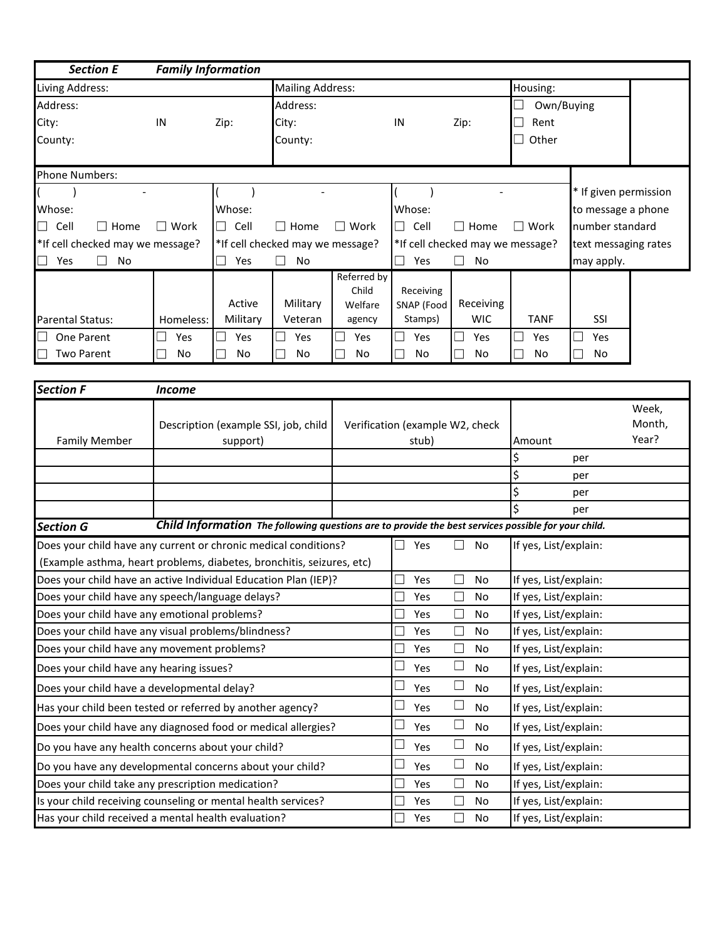| <b>Section E</b>                                                      | <b>Family Information</b> |                                                                                                     |                                  |                      |                                 |                                  |                       |                       |        |
|-----------------------------------------------------------------------|---------------------------|-----------------------------------------------------------------------------------------------------|----------------------------------|----------------------|---------------------------------|----------------------------------|-----------------------|-----------------------|--------|
| Living Address:                                                       |                           |                                                                                                     | <b>Mailing Address:</b>          |                      |                                 |                                  | Housing:              |                       |        |
| Address:                                                              |                           |                                                                                                     | Address:                         |                      |                                 |                                  | Own/Buying            |                       |        |
| City:                                                                 | IN                        | Zip:                                                                                                | City:                            |                      | IN                              | Zip:                             | Rent                  |                       |        |
| County:                                                               |                           |                                                                                                     | County:                          |                      |                                 |                                  | Other                 |                       |        |
|                                                                       |                           |                                                                                                     |                                  |                      |                                 |                                  |                       |                       |        |
| <b>Phone Numbers:</b>                                                 |                           |                                                                                                     |                                  |                      |                                 |                                  |                       |                       |        |
|                                                                       |                           |                                                                                                     |                                  |                      |                                 |                                  |                       | * If given permission |        |
| Whose:                                                                |                           | Whose:                                                                                              |                                  |                      | Whose:                          |                                  |                       | to message a phone    |        |
| $\Box$<br>Cell<br>$\Box$ Home                                         | $\Box$ Work               | $\Box$<br>Cell                                                                                      | $\Box$ Home                      | $\Box$ Work          | Cell<br>$\mathbb{R}^n$          | $\Box$ Home                      | $\Box$ Work           | number standard       |        |
| *If cell checked may we message?                                      |                           |                                                                                                     | *If cell checked may we message? |                      |                                 | *If cell checked may we message? |                       | text messaging rates  |        |
| $\Box$<br>Yes<br>No                                                   |                           | Yes                                                                                                 | No                               |                      | Yes<br>$\Box$                   | No<br>$\Box$                     |                       | may apply.            |        |
|                                                                       |                           |                                                                                                     |                                  | Referred by<br>Child | Receiving                       |                                  |                       |                       |        |
|                                                                       |                           | Active                                                                                              | Military                         | Welfare              | SNAP (Food                      | Receiving                        |                       |                       |        |
| Parental Status:                                                      | Homeless:                 | Military                                                                                            | Veteran                          | agency               | Stamps)                         | <b>WIC</b>                       | <b>TANF</b>           | SSI                   |        |
| One Parent                                                            | $\Box$<br>Yes             | Yes                                                                                                 | Yes                              | Yes                  | Yes                             | Yes                              | Yes                   | Yes                   |        |
| <b>Two Parent</b>                                                     | No                        | No                                                                                                  | No                               | No                   | No                              | No                               | No                    | No                    |        |
|                                                                       |                           |                                                                                                     |                                  |                      |                                 |                                  |                       |                       |        |
| Section F                                                             | <b>Income</b>             |                                                                                                     |                                  |                      |                                 |                                  |                       |                       |        |
|                                                                       |                           |                                                                                                     |                                  |                      |                                 |                                  |                       |                       | Week,  |
|                                                                       |                           | Description (example SSI, job, child                                                                |                                  |                      | Verification (example W2, check |                                  |                       |                       | Month, |
| <b>Family Member</b>                                                  |                           | support)                                                                                            |                                  |                      | stub)                           |                                  | Amount                |                       | Year?  |
|                                                                       |                           |                                                                                                     |                                  |                      |                                 |                                  | \$                    | per                   |        |
|                                                                       |                           |                                                                                                     |                                  |                      |                                 |                                  | \$                    | per                   |        |
|                                                                       |                           |                                                                                                     |                                  |                      |                                 |                                  |                       | per                   |        |
| <b>Section G</b>                                                      |                           | Child Information The following questions are to provide the best services possible for your child. |                                  |                      |                                 |                                  |                       | per                   |        |
| Does your child have any current or chronic medical conditions?       |                           |                                                                                                     |                                  |                      | Yes                             | $\Box$<br>No                     | If yes, List/explain: |                       |        |
| (Example asthma, heart problems, diabetes, bronchitis, seizures, etc) |                           |                                                                                                     |                                  |                      |                                 |                                  |                       |                       |        |
| Does your child have an active Individual Education Plan (IEP)?       |                           |                                                                                                     |                                  |                      | Yes                             | $\Box$<br>No                     | If yes, List/explain: |                       |        |
| Does your child have any speech/language delays?                      |                           |                                                                                                     |                                  |                      | Yes                             | $\Box$<br>No                     | If yes, List/explain: |                       |        |
| Does your child have any emotional problems?                          |                           |                                                                                                     |                                  |                      | Yes                             | $\Box$<br>No                     | If yes, List/explain: |                       |        |
| Does your child have any visual problems/blindness?                   |                           |                                                                                                     |                                  |                      | Yes                             | $\Box$<br>No                     | If yes, List/explain: |                       |        |
| Does your child have any movement problems?                           |                           |                                                                                                     |                                  |                      | Yes                             | $\Box$<br>No                     | If yes, List/explain: |                       |        |
| Does your child have any hearing issues?                              |                           |                                                                                                     |                                  |                      | Yes                             | $\Box$<br>No                     | If yes, List/explain: |                       |        |
| Does your child have a developmental delay?                           |                           |                                                                                                     |                                  |                      | Yes                             | $\Box$<br>No                     | If yes, List/explain: |                       |        |
| Has your child been tested or referred by another agency?             |                           |                                                                                                     |                                  |                      | Yes                             | $\Box$<br>No                     | If yes, List/explain: |                       |        |
| Does your child have any diagnosed food or medical allergies?         |                           |                                                                                                     |                                  |                      | Yes                             | $\Box$<br>No                     | If yes, List/explain: |                       |        |
| Do you have any health concerns about your child?                     |                           |                                                                                                     |                                  |                      | Yes                             | $\Box$<br>No                     | If yes, List/explain: |                       |        |
| Do you have any developmental concerns about your child?              |                           |                                                                                                     |                                  |                      | Yes                             | $\Box$<br>No                     | If yes, List/explain: |                       |        |
| Does your child take any prescription medication?                     |                           |                                                                                                     |                                  |                      | Yes                             | $\Box$<br>No                     | If yes, List/explain: |                       |        |
| Is your child receiving counseling or mental health services?         |                           |                                                                                                     |                                  |                      | Yes                             | $\Box$<br>No                     | If yes, List/explain: |                       |        |
| Has your child received a mental health evaluation?                   |                           |                                                                                                     |                                  |                      | Yes                             | $\Box$<br>No                     | If yes, List/explain: |                       |        |